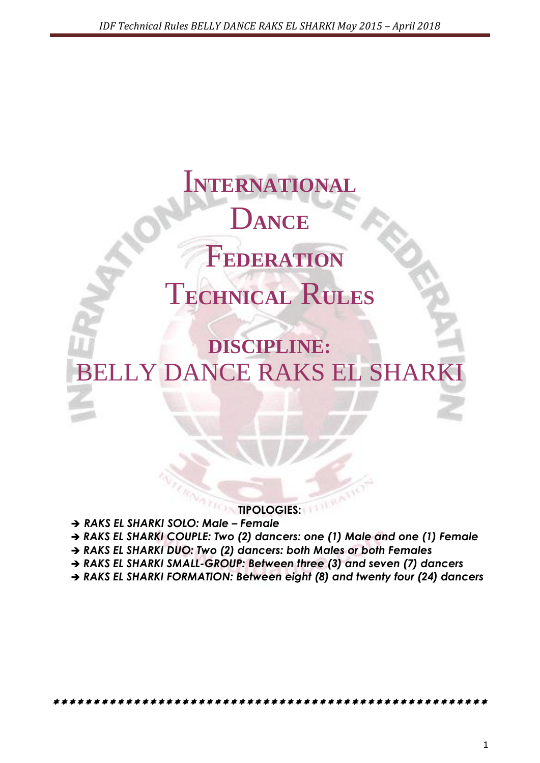# I**NTERNATIONAL** D**ANCE** F**EDERATION** T**ECHNICAL** R**ULES**

## **DISCIPLINE:** LLY DANCE RAKS EL SHARK

#### **TIPOLOGIES:**

- *RAKS EL SHARKI SOLO: Male – Female*
- *RAKS EL SHARKI COUPLE: Two (2) dancers: one (1) Male and one (1) Female*
- *RAKS EL SHARKI DUO: Two (2) dancers: both Males or both Females*
- *RAKS EL SHARKI SMALL-GROUP: Between three (3) and seven (7) dancers*

*RAKS EL SHARKI FORMATION: Between eight (8) and twenty four (24) dancers*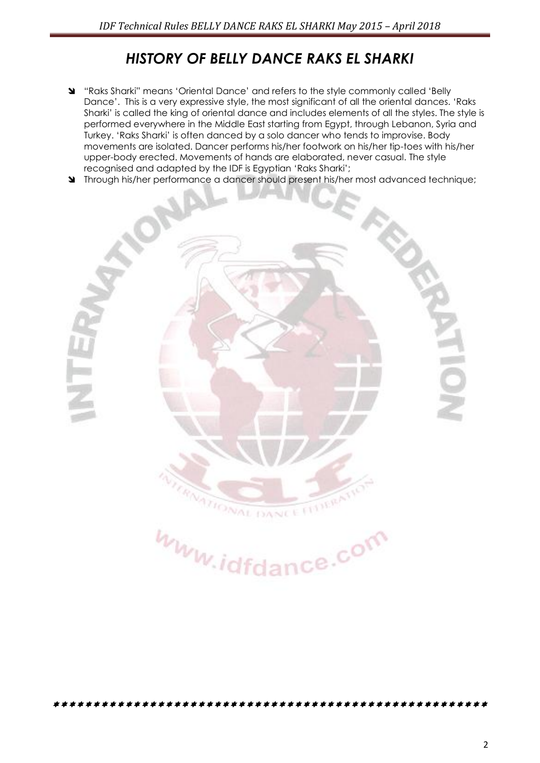### *HISTORY OF BELLY DANCE RAKS EL SHARKI*

- "Raks Sharki" means "Oriental Dance" and refers to the style commonly called "Belly Dance". This is a very expressive style, the most significant of all the oriental dances. "Raks Sharki" is called the king of oriental dance and includes elements of all the styles. The style is performed everywhere in the Middle East starting from Egypt, through Lebanon, Syria and Turkey. "Raks Sharki" is often danced by a solo dancer who tends to improvise. Body movements are isolated. Dancer performs his/her footwork on his/her tip-toes with his/her upper-body erected. Movements of hands are elaborated, never casual. The style recognised and adapted by the IDF is Egyptian "Raks Sharki";
- Through his/her performance a dancer should present his/her most advanced technique;



www.idfdance.com

\*\*\*\*\*\*\*\*\*\*\*\*\*\*\*\*\*\*\*\*\*\*\*\*\*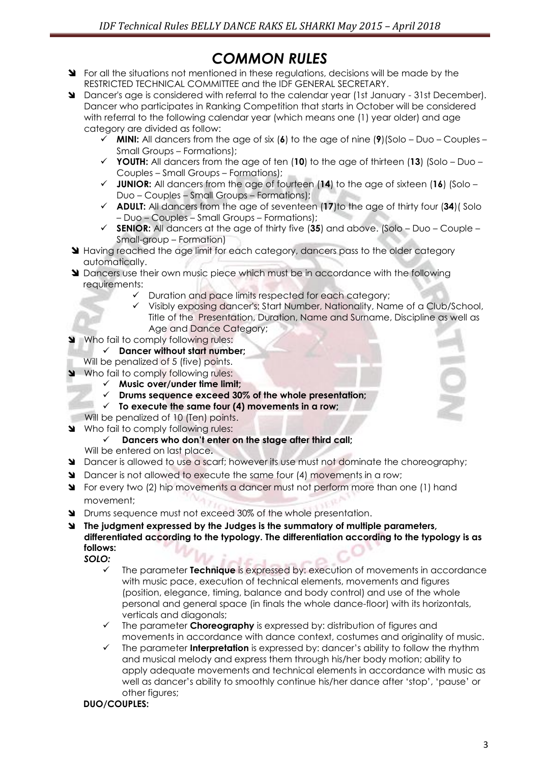## *COMMON RULES*

- State regulations in the situations not mentioned in these requiditions, decisions will be made by the RESTRICTED TECHNICAL COMMITTEE and the IDF GENERAL SECRETARY.
- Dancer's age is considered with referral to the calendar year (1st January 31st December). Dancer who participates in Ranking Competition that starts in October will be considered with referral to the following calendar year (which means one (1) year older) and age category are divided as follow:
	- **MINI:** All dancers from the age of six (**6**) to the age of nine (**9**)(Solo Duo Couples Small Groups – Formations);
	- **YOUTH:** All dancers from the age of ten (**10**) to the age of thirteen (**13**) (Solo Duo Couples – Small Groups – Formations);
	- **JUNIOR:** All dancers from the age of fourteen (**14**) to the age of sixteen (**16**) (Solo Duo – Couples – Small Groups – Formations);
	- **ADULT:** All dancers from the age of seventeen (**17**)to the age of thirty four (**34**)( Solo – Duo – Couples – Small Groups – Formations);
	- **SENIOR:** All dancers at the age of thirty five (**35**) and above. (Solo Duo Couple Small-group – Formation)
- **Having reached the age limit for each category, dancers pass to the older category** automatically.
- **M** Dancers use their own music piece which must be in accordance with the following requirements:
	- $\checkmark$  Duration and pace limits respected for each category;
	- Visibly exposing dancer's: Start Number, Nationality, Name of a Club/School, Title of the Presentation, Duration, Name and Surname, Discipline as well as Age and Dance Category;
- Who fail to comply following rules:
	- **Dancer without start number;**
	- Will be penalized of 5 (five) points.
- Who fail to comply following rules:
	- **Music over/under time limit;**
	- **Drums sequence exceed 30% of the whole presentation;**
	- **To execute the same four (4) movements in a row;**
	- Will be penalized of 10 (Ten) points.
- Who fail to comply following rules:
	- **Dancers who don't enter on the stage after third call;** Will be entered on last place**.**
- **D** Dancer is allowed to use a scarf; however its use must not dominate the choreography;
- Dancer is not allowed to execute the same four (4) movements in a row;
- For every two (2) hip movements a dancer must not perform more than one (1) hand movement;
- **N** Drums sequence must not exceed 30% of the whole presentation.
- **The judgment expressed by the Judges is the summatory of multiple parameters, differentiated according to the typology. The differentiation according to the typology is as follows:**

*SOLO:*

- The parameter **Technique** is expressed by: execution of movements in accordance with music pace, execution of technical elements, movements and figures (position, elegance, timing, balance and body control) and use of the whole personal and general space (in finals the whole dance-floor) with its horizontals, verticals and diagonals;
- The parameter **Choreography** is expressed by: distribution of figures and movements in accordance with dance context, costumes and originality of music.
- The parameter **Interpretation** is expressed by: dancer"s ability to follow the rhythm and musical melody and express them through his/her body motion; ability to apply adequate movements and technical elements in accordance with music as well as dancer"s ability to smoothly continue his/her dance after "stop", "pause" or other figures;

#### **DUO/COUPLES:**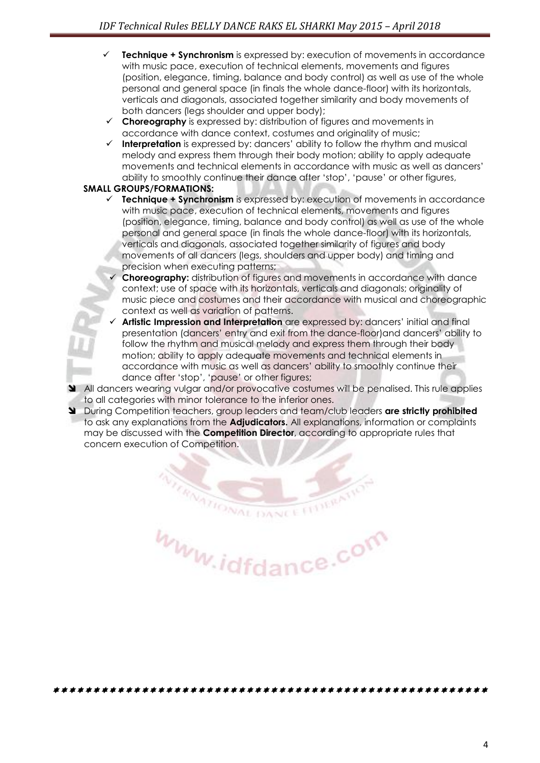- **Technique + Synchronism** is expressed by: execution of movements in accordance with music pace, execution of technical elements, movements and figures (position, elegance, timing, balance and body control) as well as use of the whole personal and general space (in finals the whole dance-floor) with its horizontals, verticals and diagonals, associated together similarity and body movements of both dancers (legs shoulder and upper body);
- **Choreography** is expressed by: distribution of figures and movements in accordance with dance context, costumes and originality of music;
- **Interpretation** is expressed by: dancers" ability to follow the rhythm and musical melody and express them through their body motion; ability to apply adequate movements and technical elements in accordance with music as well as dancers" ability to smoothly continue their dance after "stop", "pause" or other figures,

#### **SMALL GROUPS/FORMATIONS:**

- **Technique + Synchronism** is expressed by: execution of movements in accordance with music pace, execution of technical elements, movements and figures (position, elegance, timing, balance and body control) as well as use of the whole personal and general space (in finals the whole dance-floor) with its horizontals, verticals and diagonals, associated together similarity of figures and body movements of all dancers (legs, shoulders and upper body) and timing and precision when executing patterns;
	- **Choreography:** distribution of figures and movements in accordance with dance context; use of space with its horizontals, verticals and diagonals; originality of music piece and costumes and their accordance with musical and choreographic context as well as variation of patterns.
	- Artistic Impression and Interpretation are expressed by: dancers' initial and final presentation (dancers" entry and exit from the dance-floor)and dancers" ability to follow the rhythm and musical melody and express them through their body motion; ability to apply adequate movements and technical elements in accordance with music as well as dancers" ability to smoothly continue their dance after "stop", "pause" or other figures;

All dancers wearing vulgar and/or provocative costumes will be penalised. This rule applies to all categories with minor tolerance to the inferior ones.

 During Competition teachers, group leaders and team/club leaders **are strictly prohibited**  to ask any explanations from the **Adjudicators.** All explanations, information or complaints may be discussed with the **Competition Director**, according to appropriate rules that concern execution of Competition.

www.idfdance.com

**RIVATIONAL DANCE**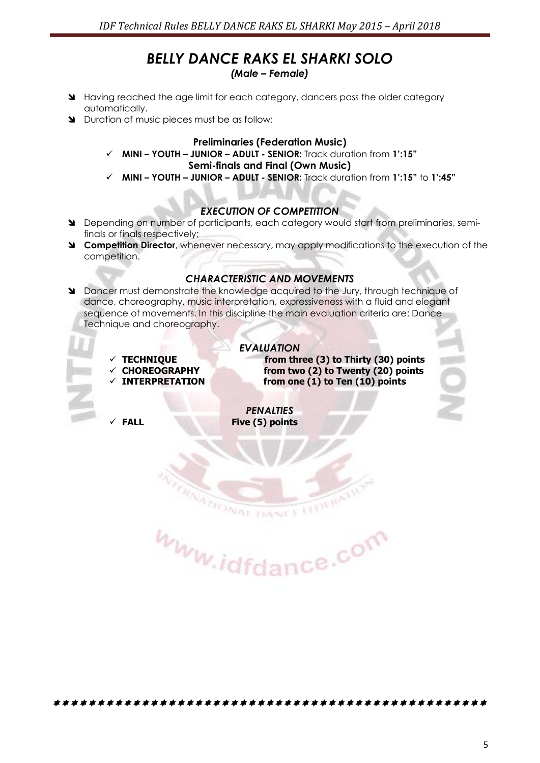## *BELLY DANCE RAKS EL SHARKI SOLO*

*(Male – Female)*

- Having reached the age limit for each category, dancers pass the older category automatically.
- Duration of music pieces must be as follow:

#### **Preliminaries (Federation Music)**

- **MINI – YOUTH – JUNIOR – ADULT - SENIOR:** Track duration from **1':15" Semi-finals and Final (Own Music)**
- **MINI – YOUTH – JUNIOR – ADULT - SENIOR:** Track duration from **1':15"** to **1':45"**

#### *EXECUTION OF COMPETITION*

- Depending on number of participants, each category would start from preliminaries, semifinals or finals respectively;
- **Competition Director**, whenever necessary, may apply modifications to the execution of the competition.

#### *CHARACTERISTIC AND MOVEMENTS*

 Dancer must demonstrate the knowledge acquired to the Jury, through technique of dance, choreography, music interpretation, expressiveness with a fluid and elegant sequence of movements. In this discipline the main evaluation criteria are: Dance Technique and choreography.

*EVALUATION* 

- 
- 
- 

 **TECHNIQUE from three (3) to Thirty (30) points CHOREOGRAPHY from two (2) to Twenty (20) points INTERPRETATION from one (1) to Ten (10) points**

*PENALTIES*  **FALL Five (5) points**

DANCE

www.idfdance.com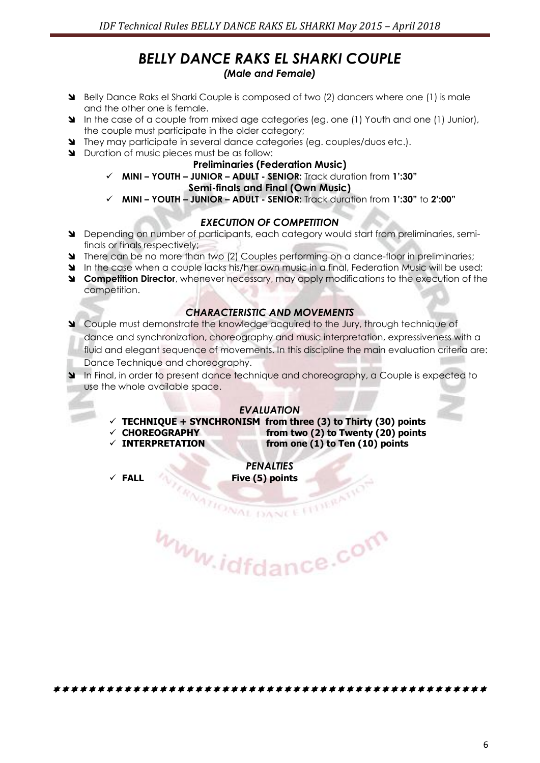#### *BELLY DANCE RAKS EL SHARKI COUPLE (Male and Female)*

- Belly Dance Raks el Sharki Couple is composed of two (2) dancers where one (1) is male and the other one is female.
- In the case of a couple from mixed age categories (eg. one (1) Youth and one (1) Junior), the couple must participate in the older category;
- They may participate in several dance categories (eg. couples/duos etc.).
- Duration of music pieces must be as follow:

#### **Preliminaries (Federation Music)**

**MINI – YOUTH – JUNIOR – ADULT - SENIOR:** Track duration from **1':30"**

#### **Semi-finals and Final (Own Music)**

**MINI – YOUTH – JUNIOR – ADULT - SENIOR:** Track duration from **1':30"** to **2':00"**

#### *EXECUTION OF COMPETITION*

- Depending on number of participants, each category would start from preliminaries, semifinals or finals respectively;
- **There can be no more than two (2) Couples performing on a dance-floor in preliminaries;**
- In the case when a couple lacks his/her own music in a final, Federation Music will be used:
- **Competition Director**, whenever necessary, may apply modifications to the execution of the competition.

#### *CHARACTERISTIC AND MOVEMENTS*

- Couple must demonstrate the knowledge acquired to the Jury, through technique of dance and synchronization, choreography and music interpretation, expressiveness with a fluid and elegant sequence of movements. In this discipline the main evaluation criteria are: Dance Technique and choreography.
- In Final, in order to present dance technique and choreography, a Couple is expected to use the whole available space.

#### *EVALUATION*

- $\checkmark$  TECHNIQUE + SYNCHRONISM from three (3) to Thirty (30) points
- **CHOREOGRAPHY from two (2) to Twenty (20) points**
- 

**INTERPRETATION from one (1) to Ten (10) points**

*PENALTIES*  **FALL Five (5) points**

**RATIONAL DANCE** www.idfdance.com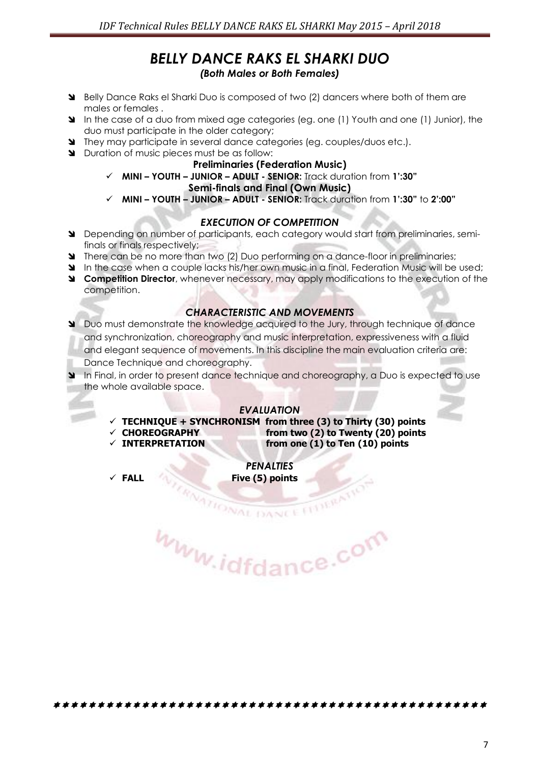#### *BELLY DANCE RAKS EL SHARKI DUO (Both Males or Both Females)*

- Belly Dance Raks el Sharki Duo is composed of two (2) dancers where both of them are males or females .
- In the case of a duo from mixed age categories (eg. one (1) Youth and one (1) Junior), the duo must participate in the older category;
- They may participate in several dance categories (eg. couples/duos etc.).
- Duration of music pieces must be as follow:

#### **Preliminaries (Federation Music)**

**MINI – YOUTH – JUNIOR – ADULT - SENIOR:** Track duration from **1':30"**

#### **Semi-finals and Final (Own Music)**

**MINI – YOUTH – JUNIOR – ADULT - SENIOR:** Track duration from **1':30"** to **2':00"**

#### *EXECUTION OF COMPETITION*

- Depending on number of participants, each category would start from preliminaries, semifinals or finals respectively;
- There can be no more than two (2) Duo performing on a dance-floor in preliminaries;
- In the case when a couple lacks his/her own music in a final, Federation Music will be used:
- **Competition Director**, whenever necessary, may apply modifications to the execution of the competition.

#### *CHARACTERISTIC AND MOVEMENTS*

- Duo must demonstrate the knowledge acquired to the Jury, through technique of dance and synchronization, choreography and music interpretation, expressiveness with a fluid and elegant sequence of movements. In this discipline the main evaluation criteria are: Dance Technique and choreography.
- In Final, in order to present dance technique and choreography, a Duo is expected to use the whole available space.

#### *EVALUATION*

- $\checkmark$  TECHNIQUE + SYNCHRONISM from three (3) to Thirty (30) points
- 
- 

 **CHOREOGRAPHY from two (2) to Twenty (20) points INTERPRETATION from one (1) to Ten (10) points**

*PENALTIES*  **FALL Five (5) points**

www.idfdance.com

**RATIONAL DANCE**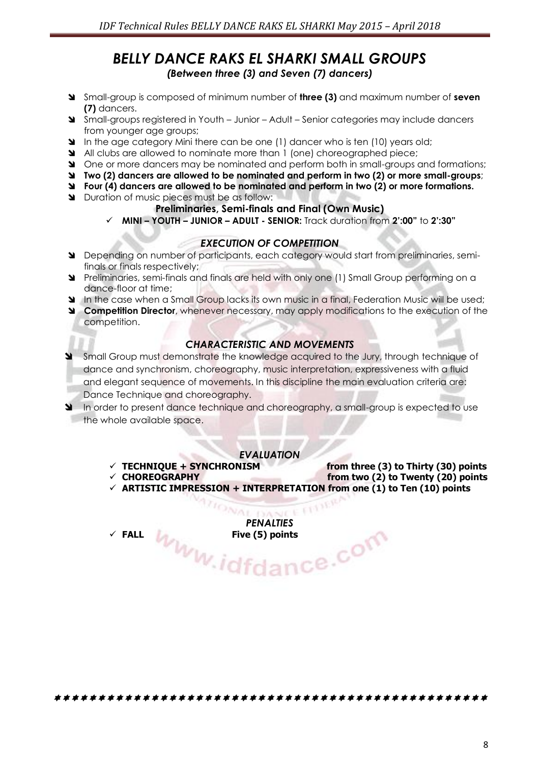#### *BELLY DANCE RAKS EL SHARKI SMALL GROUPS (Between three (3) and Seven (7) dancers)*

- Small-group is composed of minimum number of **three (3)** and maximum number of **seven (7)** dancers.
- Small-groups registered in Youth Junior Adult Senior categories may include dancers from younger age groups;
- In the age category Mini there can be one (1) dancer who is ten (10) years old;
- All clubs are allowed to nominate more than 1 (one) choreographed piece;
- One or more dancers may be nominated and perform both in small-groups and formations;
- **Two (2) dancers are allowed to be nominated and perform in two (2) or more small-groups**;
- **Four (4) dancers are allowed to be nominated and perform in two (2) or more formations.**
- **N** Duration of music pieces must be as follow:

#### **Preliminaries, Semi-finals and Final (Own Music)**

**MINI – YOUTH – JUNIOR – ADULT - SENIOR:** Track duration from **2':00"** to **2':30"**

#### *EXECUTION OF COMPETITION*

- Depending on number of participants, each category would start from preliminaries, semifinals or finals respectively;
- Preliminaries, semi-finals and finals are held with only one (1) Small Group performing on a dance-floor at time;
- In the case when a Small Group lacks its own music in a final, Federation Music will be used;
- **Competition Director**, whenever necessary, may apply modifications to the execution of the competition.

#### *CHARACTERISTIC AND MOVEMENTS*

- Small Group must demonstrate the knowledge acquired to the Jury, through technique of dance and synchronism, choreography, music interpretation, expressiveness with a fluid and elegant sequence of movements. In this discipline the main evaluation criteria are: Dance Technique and choreography.
- In order to present dance technique and choreography, a small-group is expected to use the whole available space.

#### *EVALUATION*

- 
- **TECHNIQUE + SYNCHRONISM from three (3) to Thirty (30) points**
- from two (2) to Twenty (20) points  $\checkmark$  ARTISTIC IMPRESSION + INTERPRETATION from one (1) to Ten (10) points

VA AIR E

*PENALTIES*  Five (5) points<br>
Www.idfdance.com